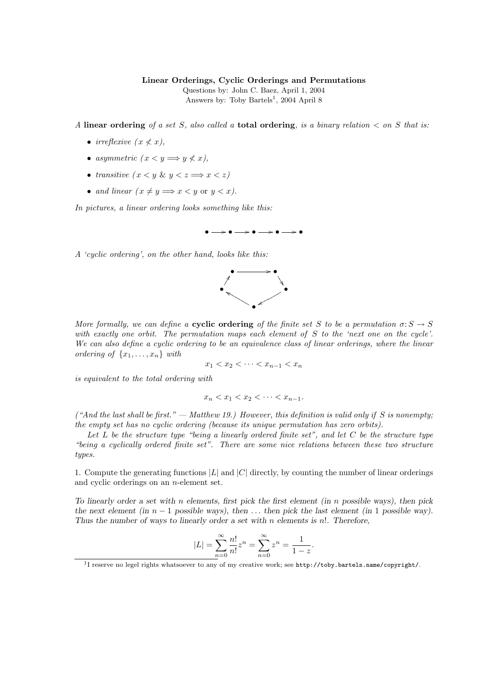## Linear Orderings, Cyclic Orderings and Permutations

Questions by: John C. Baez, April 1, 2004 Answers by: Toby Bartels<sup>1</sup>, 2004 April 8

A linear ordering of a set S, also called a total ordering, is a binary relation  $\lt$  on S that is:

- irreflexive  $(x \nless x)$ .
- asymmetric  $(x < y \Longrightarrow y \nless x)$ ,
- transitive  $(x < y \& y < z \Longrightarrow x < z)$
- and linear  $(x \neq y \Longrightarrow x < y$  or  $y < x$ ).

In pictures, a linear ordering looks something like this:



A 'cyclic ordering', on the other hand, looks like this:



More formally, we can define a **cyclic ordering** of the finite set S to be a permutation  $\sigma: S \to S$ with exactly one orbit. The permutation maps each element of S to the 'next one on the cycle'. We can also define a cyclic ordering to be an equivalence class of linear orderings, where the linear ordering of  $\{x_1, \ldots, x_n\}$  with

$$
x_1 < x_2 < \cdots < x_{n-1} < x_n
$$

is equivalent to the total ordering with

$$
x_n < x_1 < x_2 < \cdots < x_{n-1}.
$$

("And the last shall be first." — Matthew 19.) However, this definition is valid only if S is nonempty; the empty set has no cyclic ordering (because its unique permutation has zero orbits).

Let  $L$  be the structure type "being a linearly ordered finite set", and let  $C$  be the structure type "being a cyclically ordered finite set". There are some nice relations between these two structure types.

1. Compute the generating functions  $|L|$  and  $|C|$  directly, by counting the number of linear orderings and cyclic orderings on an n-element set.

To linearly order a set with  $n$  elements, first pick the first element (in  $n$  possible ways), then pick the next element (in  $n-1$  possible ways), then ... then pick the last element (in 1 possible way). Thus the number of ways to linearly order a set with  $n$  elements is  $n!$ . Therefore,

$$
|L| = \sum_{n=0}^{\infty} \frac{n!}{n!} z^n = \sum_{n=0}^{\infty} z^n = \frac{1}{1-z}.
$$

<sup>&</sup>lt;sup>1</sup>I reserve no legel rights whatsoever to any of my creative work; see http://toby.bartels.name/copyright/.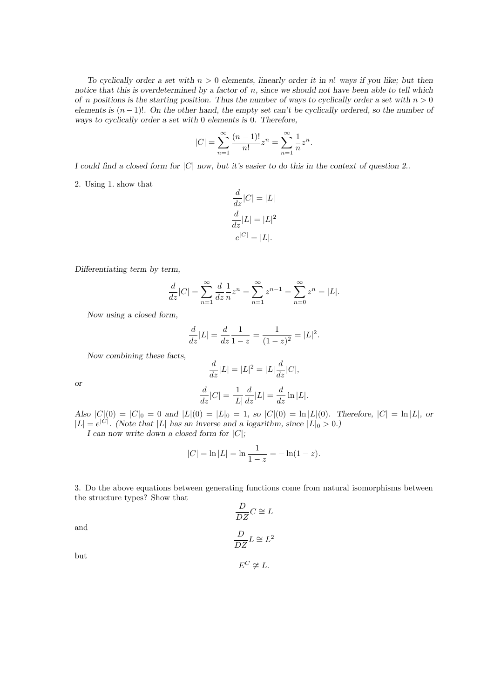To cyclically order a set with  $n > 0$  elements, linearly order it in n! ways if you like; but then notice that this is overdetermined by a factor of n, since we should not have been able to tell which of n positions is the starting position. Thus the number of ways to cyclically order a set with  $n > 0$ elements is  $(n-1)!$ . On the other hand, the empty set can't be cyclically ordered, so the number of ways to cyclically order a set with 0 elements is 0. Therefore,

$$
|C| = \sum_{n=1}^{\infty} \frac{(n-1)!}{n!} z^n = \sum_{n=1}^{\infty} \frac{1}{n} z^n.
$$

I could find a closed form for  $|C|$  now, but it's easier to do this in the context of question 2..

2. Using 1. show that

$$
\frac{d}{dz}|C| = |L|
$$

$$
\frac{d}{dz}|L| = |L|^2
$$

$$
e^{|C|} = |L|.
$$

Differentiating term by term,

$$
\frac{d}{dz}|C| = \sum_{n=1}^{\infty} \frac{d}{dz} \frac{1}{n} z^n = \sum_{n=1}^{\infty} z^{n-1} = \sum_{n=0}^{\infty} z^n = |L|.
$$

Now using a closed form,

$$
\frac{d}{dz}|L| = \frac{d}{dz}\frac{1}{1-z} = \frac{1}{(1-z)^2} = |L|^2.
$$

Now combining these facts,

$$
\frac{d}{dz}|L| = |L|^2 = |L|\frac{d}{dz}|C|,
$$

or

$$
\frac{d}{dz}|C| = \frac{1}{|L|}\frac{d}{dz}|L| = \frac{d}{dz}\ln|L|.
$$

Also  $|C|(0) = |C|_0 = 0$  and  $|L|(0) = |L|_0 = 1$ , so  $|C|(0) = \ln |L|(0)$ . Therefore,  $|C| = \ln |L|$ , or  $|L| = e^{|C|}$ . (Note that |L| has an inverse and a logarithm, since  $|L|_0 > 0$ .)

I can now write down a closed form for  $|C|$ ;

$$
|C| = \ln |L| = \ln \frac{1}{1-z} = -\ln(1-z).
$$

3. Do the above equations between generating functions come from natural isomorphisms between the structure types? Show that

$$
\frac{D}{DZ}C \cong L
$$

and

$$
\frac{D}{DZ}L\cong L^2
$$

 $E^C \not\cong L$ .

but